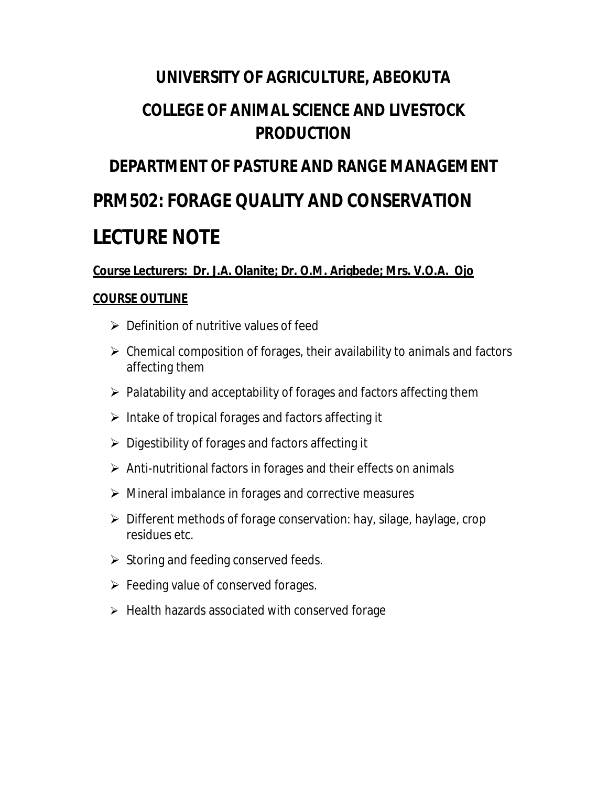# **UNIVERSITY OF AGRICULTURE, ABEOKUTA**

# **COLLEGE OF ANIMAL SCIENCE AND LIVESTOCK PRODUCTION**

# **DEPARTMENT OF PASTURE AND RANGE MANAGEMENT PRM502: FORAGE QUALITY AND CONSERVATION LECTURE NOTE**

#### **Course Lecturers: Dr. J.A. Olanite; Dr. O.M. Arigbede; Mrs. V.O.A. Ojo**

#### **COURSE OUTLINE**

- $\triangleright$  Definition of nutritive values of feed
- $\triangleright$  Chemical composition of forages, their availability to animals and factors affecting them
- $\triangleright$  Palatability and acceptability of forages and factors affecting them
- $\triangleright$  Intake of tropical forages and factors affecting it
- $\triangleright$  Digestibility of forages and factors affecting it
- $\triangleright$  Anti-nutritional factors in forages and their effects on animals
- $\triangleright$  Mineral imbalance in forages and corrective measures
- $\triangleright$  Different methods of forage conservation: hay, silage, haylage, crop residues etc.
- $\triangleright$  Storing and feeding conserved feeds.
- $\triangleright$  Feeding value of conserved forages.
- $\triangleright$  Health hazards associated with conserved forage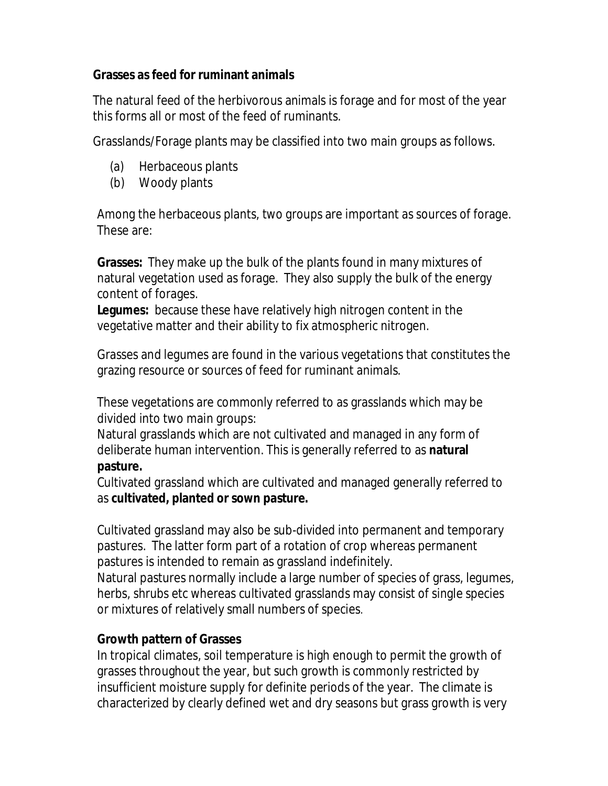#### **Grasses as feed for ruminant animals**

The natural feed of the herbivorous animals is forage and for most of the year this forms all or most of the feed of ruminants.

Grasslands/Forage plants may be classified into two main groups as follows.

- (a) Herbaceous plants
- (b) Woody plants

Among the herbaceous plants, two groups are important as sources of forage. These are:

**Grasses:** They make up the bulk of the plants found in many mixtures of natural vegetation used as forage. They also supply the bulk of the energy content of forages.

**Legumes:** because these have relatively high nitrogen content in the vegetative matter and their ability to fix atmospheric nitrogen.

Grasses and legumes are found in the various vegetations that constitutes the grazing resource or sources of feed for ruminant animals.

These vegetations are commonly referred to as grasslands which may be divided into two main groups:

Natural grasslands which are not cultivated and managed in any form of deliberate human intervention. This is generally referred to as **natural pasture.**

Cultivated grassland which are cultivated and managed generally referred to as **cultivated, planted or sown pasture.**

Cultivated grassland may also be sub-divided into permanent and temporary pastures. The latter form part of a rotation of crop whereas permanent pastures is intended to remain as grassland indefinitely. Natural pastures normally include a large number of species of grass, legumes, herbs, shrubs etc whereas cultivated grasslands may consist of single species or mixtures of relatively small numbers of species.

# **Growth pattern of Grasses**

In tropical climates, soil temperature is high enough to permit the growth of grasses throughout the year, but such growth is commonly restricted by insufficient moisture supply for definite periods of the year. The climate is characterized by clearly defined wet and dry seasons but grass growth is very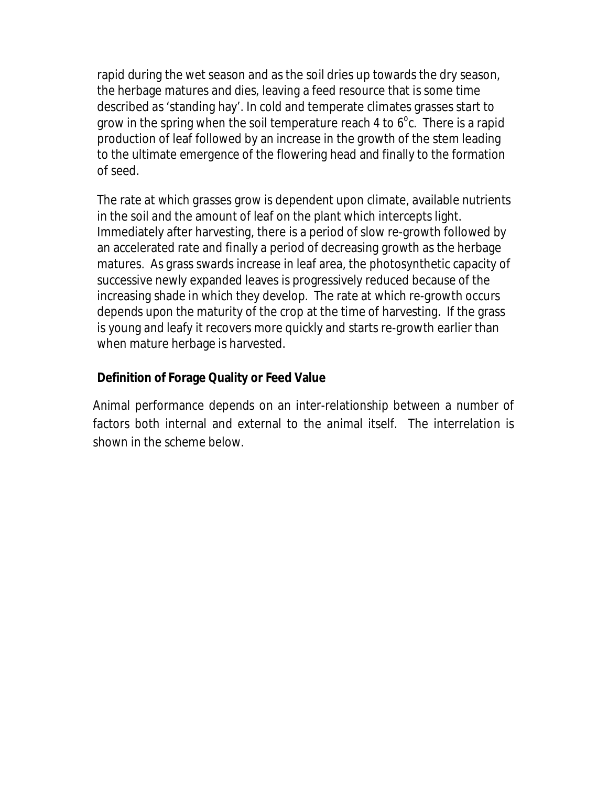rapid during the wet season and as the soil dries up towards the dry season, the herbage matures and dies, leaving a feed resource that is some time described as 'standing hay'. In cold and temperate climates grasses start to grow in the spring when the soil temperature reach 4 to  $6^{\circ}$ c. There is a rapid production of leaf followed by an increase in the growth of the stem leading to the ultimate emergence of the flowering head and finally to the formation of seed.

The rate at which grasses grow is dependent upon climate, available nutrients in the soil and the amount of leaf on the plant which intercepts light. Immediately after harvesting, there is a period of slow re-growth followed by an accelerated rate and finally a period of decreasing growth as the herbage matures. As grass swards increase in leaf area, the photosynthetic capacity of successive newly expanded leaves is progressively reduced because of the increasing shade in which they develop. The rate at which re-growth occurs depends upon the maturity of the crop at the time of harvesting. If the grass is young and leafy it recovers more quickly and starts re-growth earlier than when mature herbage is harvested.

#### **Definition of Forage Quality or Feed Value**

Animal performance depends on an inter-relationship between a number of factors both internal and external to the animal itself. The interrelation is shown in the scheme below.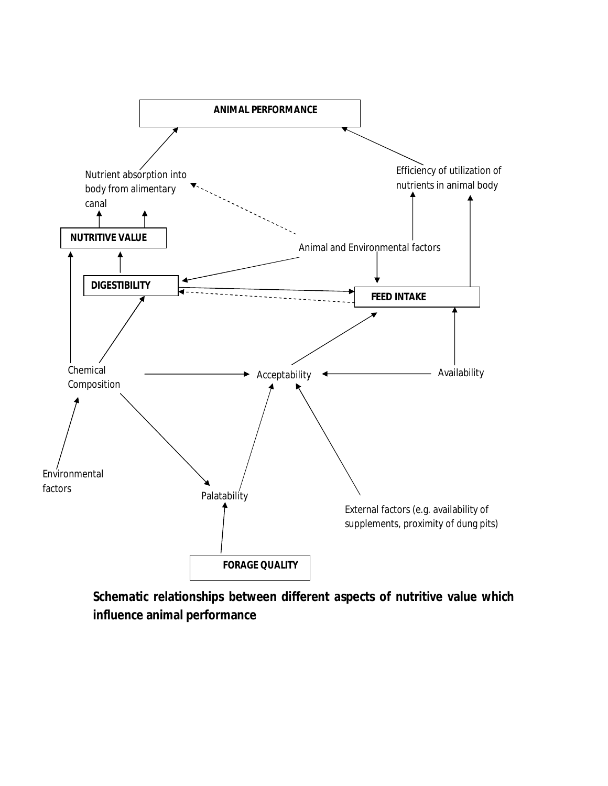

**Schematic relationships between different aspects of nutritive value which influence animal performance**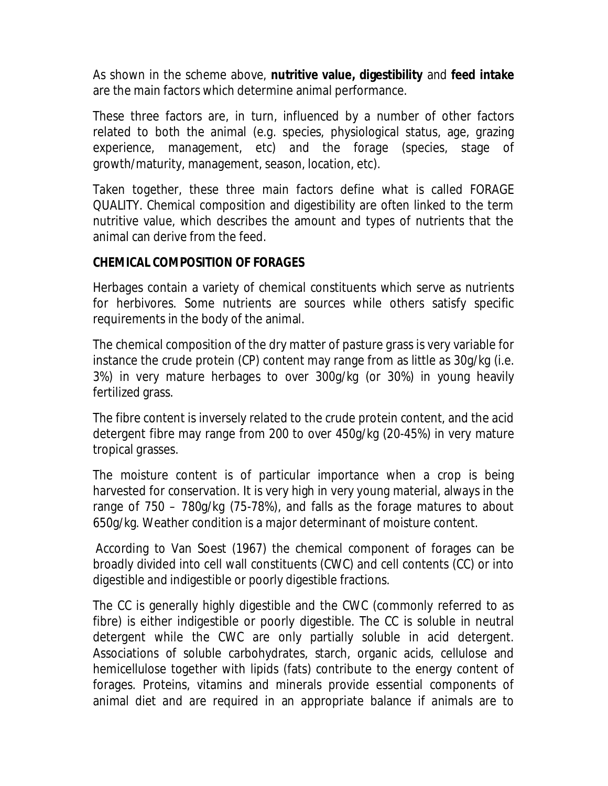As shown in the scheme above, **nutritive value, digestibility** and **feed intake** are the main factors which determine animal performance.

These three factors are, in turn, influenced by a number of other factors related to both the animal (e.g. species, physiological status, age, grazing experience, management, etc) and the forage (species, stage of growth/maturity, management, season, location, etc).

Taken together, these three main factors define what is called FORAGE QUALITY. Chemical composition and digestibility are often linked to the term nutritive value, which describes the amount and types of nutrients that the animal can derive from the feed.

#### **CHEMICAL COMPOSITION OF FORAGES**

Herbages contain a variety of chemical constituents which serve as nutrients for herbivores. Some nutrients are sources while others satisfy specific requirements in the body of the animal.

The chemical composition of the dry matter of pasture grass is very variable for instance the crude protein (CP) content may range from as little as 30g/kg (i.e. 3%) in very mature herbages to over 300g/kg (or 30%) in young heavily fertilized grass.

The fibre content is inversely related to the crude protein content, and the acid detergent fibre may range from 200 to over 450g/kg (20-45%) in very mature tropical grasses.

The moisture content is of particular importance when a crop is being harvested for conservation. It is very high in very young material, always in the range of 750 – 780g/kg (75-78%), and falls as the forage matures to about 650g/kg. Weather condition is a major determinant of moisture content.

According to Van Soest (1967) the chemical component of forages can be broadly divided into cell wall constituents (CWC) and cell contents (CC) or into digestible and indigestible or poorly digestible fractions.

The CC is generally highly digestible and the CWC (commonly referred to as fibre) is either indigestible or poorly digestible. The CC is soluble in neutral detergent while the CWC are only partially soluble in acid detergent. Associations of soluble carbohydrates, starch, organic acids, cellulose and hemicellulose together with lipids (fats) contribute to the energy content of forages. Proteins, vitamins and minerals provide essential components of animal diet and are required in an appropriate balance if animals are to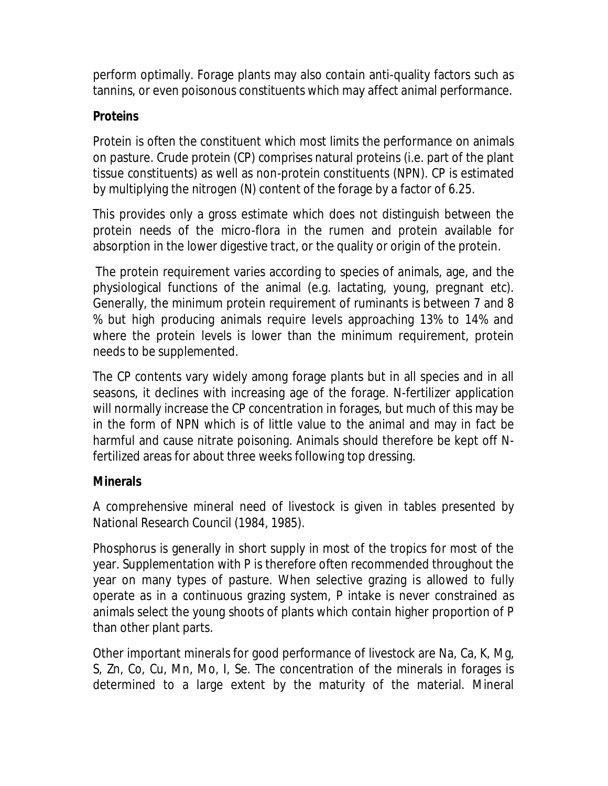perform optimally. Forage plants may also contain anti-quality factors such as tannins, or even poisonous constituents which may affect animal performance.

#### **Proteins**

Protein is often the constituent which most limits the performance on animals on pasture. Crude protein (CP) comprises natural proteins (i.e. part of the plant tissue constituents) as well as non-protein constituents (NPN). CP is estimated by multiplying the nitrogen (N) content of the forage by a factor of 6.25.

This provides only a gross estimate which does not distinguish between the protein needs of the micro-flora in the rumen and protein available for absorption in the lower digestive tract, or the quality or origin of the protein.

The protein requirement varies according to species of animals, age, and the physiological functions of the animal (e.g. lactating, young, pregnant etc). Generally, the minimum protein requirement of ruminants is between 7 and 8 % but high producing animals require levels approaching 13% to 14% and where the protein levels is lower than the minimum requirement, protein needs to be supplemented.

The CP contents vary widely among forage plants but in all species and in all seasons, it declines with increasing age of the forage. N-fertilizer application will normally increase the CP concentration in forages, but much of this may be in the form of NPN which is of little value to the animal and may in fact be harmful and cause nitrate poisoning. Animals should therefore be kept off Nfertilized areas for about three weeks following top dressing.

#### **Minerals**

A comprehensive mineral need of livestock is given in tables presented by National Research Council (1984, 1985).

Phosphorus is generally in short supply in most of the tropics for most of the year. Supplementation with P is therefore often recommended throughout the year on many types of pasture. When selective grazing is allowed to fully operate as in a continuous grazing system, P intake is never constrained as animals select the young shoots of plants which contain higher proportion of P than other plant parts.

Other important minerals for good performance of livestock are Na, Ca, K, Mg, S, Zn, Co, Cu, Mn, Mo, I, Se. The concentration of the minerals in forages is determined to a large extent by the maturity of the material. Mineral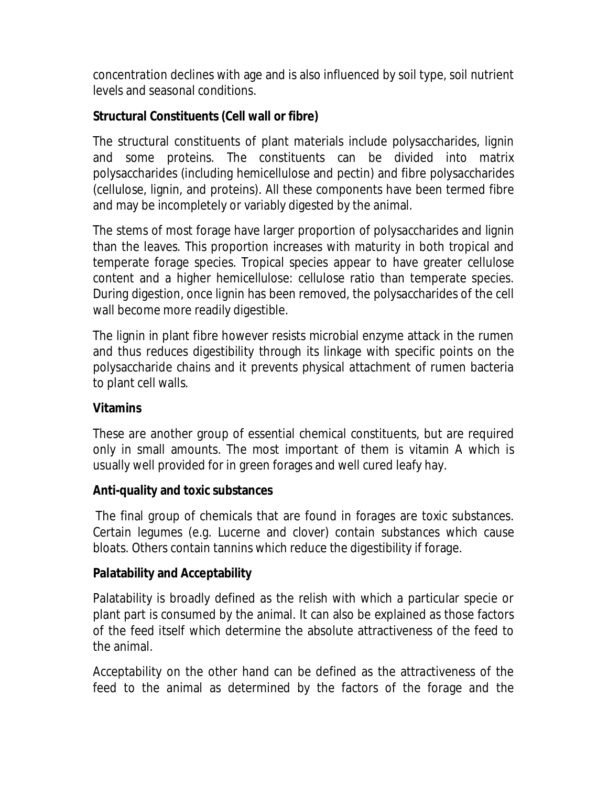concentration declines with age and is also influenced by soil type, soil nutrient levels and seasonal conditions.

# **Structural Constituents (Cell wall or fibre)**

The structural constituents of plant materials include polysaccharides, lignin and some proteins. The constituents can be divided into matrix polysaccharides (including hemicellulose and pectin) and fibre polysaccharides (cellulose, lignin, and proteins). All these components have been termed fibre and may be incompletely or variably digested by the animal.

The stems of most forage have larger proportion of polysaccharides and lignin than the leaves. This proportion increases with maturity in both tropical and temperate forage species. Tropical species appear to have greater cellulose content and a higher hemicellulose: cellulose ratio than temperate species. During digestion, once lignin has been removed, the polysaccharides of the cell wall become more readily digestible.

The lignin in plant fibre however resists microbial enzyme attack in the rumen and thus reduces digestibility through its linkage with specific points on the polysaccharide chains and it prevents physical attachment of rumen bacteria to plant cell walls.

# **Vitamins**

These are another group of essential chemical constituents, but are required only in small amounts. The most important of them is vitamin A which is usually well provided for in green forages and well cured leafy hay.

# **Anti-quality and toxic substances**

The final group of chemicals that are found in forages are toxic substances. Certain legumes (e.g. Lucerne and clover) contain substances which cause bloats. Others contain tannins which reduce the digestibility if forage.

# **Palatability and Acceptability**

Palatability is broadly defined as the relish with which a particular specie or plant part is consumed by the animal. It can also be explained as those factors of the feed itself which determine the absolute attractiveness of the feed to the animal.

Acceptability on the other hand can be defined as the attractiveness of the feed to the animal as determined by the factors of the forage and the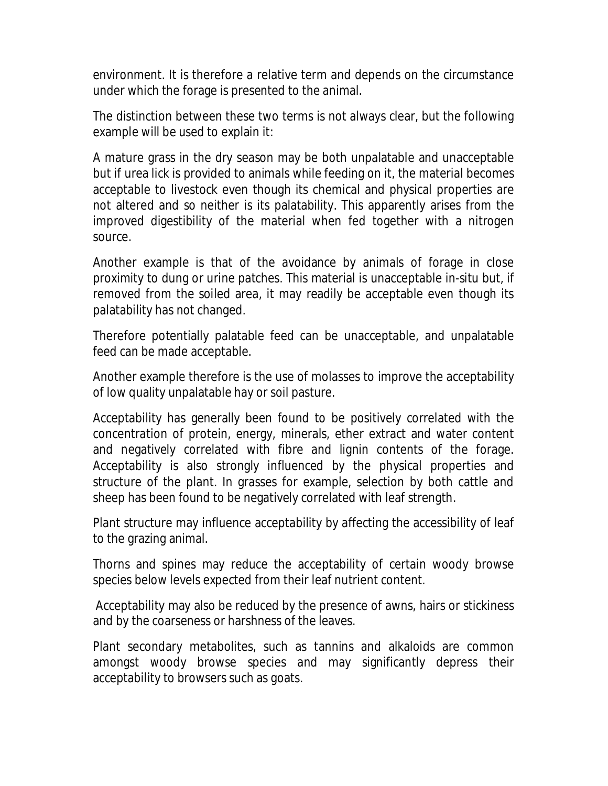environment. It is therefore a relative term and depends on the circumstance under which the forage is presented to the animal.

The distinction between these two terms is not always clear, but the following example will be used to explain it:

A mature grass in the dry season may be both unpalatable and unacceptable but if urea lick is provided to animals while feeding on it, the material becomes acceptable to livestock even though its chemical and physical properties are not altered and so neither is its palatability. This apparently arises from the improved digestibility of the material when fed together with a nitrogen source.

Another example is that of the avoidance by animals of forage in close proximity to dung or urine patches. This material is unacceptable in-situ but, if removed from the soiled area, it may readily be acceptable even though its palatability has not changed.

Therefore potentially palatable feed can be unacceptable, and unpalatable feed can be made acceptable.

Another example therefore is the use of molasses to improve the acceptability of low quality unpalatable hay or soil pasture.

Acceptability has generally been found to be positively correlated with the concentration of protein, energy, minerals, ether extract and water content and negatively correlated with fibre and lignin contents of the forage. Acceptability is also strongly influenced by the physical properties and structure of the plant. In grasses for example, selection by both cattle and sheep has been found to be negatively correlated with leaf strength.

Plant structure may influence acceptability by affecting the accessibility of leaf to the grazing animal.

Thorns and spines may reduce the acceptability of certain woody browse species below levels expected from their leaf nutrient content.

Acceptability may also be reduced by the presence of awns, hairs or stickiness and by the coarseness or harshness of the leaves.

Plant secondary metabolites, such as tannins and alkaloids are common amongst woody browse species and may significantly depress their acceptability to browsers such as goats.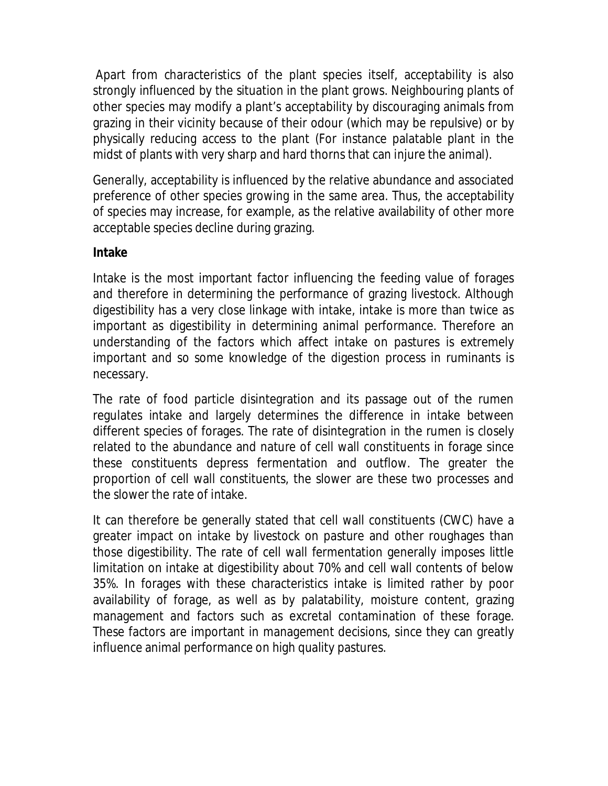Apart from characteristics of the plant species itself, acceptability is also strongly influenced by the situation in the plant grows. Neighbouring plants of other species may modify a plant's acceptability by discouraging animals from grazing in their vicinity because of their odour (which may be repulsive) or by physically reducing access to the plant (For instance palatable plant in the midst of plants with very sharp and hard thorns that can injure the animal).

Generally, acceptability is influenced by the relative abundance and associated preference of other species growing in the same area. Thus, the acceptability of species may increase, for example, as the relative availability of other more acceptable species decline during grazing.

#### **Intake**

Intake is the most important factor influencing the feeding value of forages and therefore in determining the performance of grazing livestock. Although digestibility has a very close linkage with intake, intake is more than twice as important as digestibility in determining animal performance. Therefore an understanding of the factors which affect intake on pastures is extremely important and so some knowledge of the digestion process in ruminants is necessary.

The rate of food particle disintegration and its passage out of the rumen regulates intake and largely determines the difference in intake between different species of forages. The rate of disintegration in the rumen is closely related to the abundance and nature of cell wall constituents in forage since these constituents depress fermentation and outflow. The greater the proportion of cell wall constituents, the slower are these two processes and the slower the rate of intake.

It can therefore be generally stated that cell wall constituents (CWC) have a greater impact on intake by livestock on pasture and other roughages than those digestibility. The rate of cell wall fermentation generally imposes little limitation on intake at digestibility about 70% and cell wall contents of below 35%. In forages with these characteristics intake is limited rather by poor availability of forage, as well as by palatability, moisture content, grazing management and factors such as excretal contamination of these forage. These factors are important in management decisions, since they can greatly influence animal performance on high quality pastures.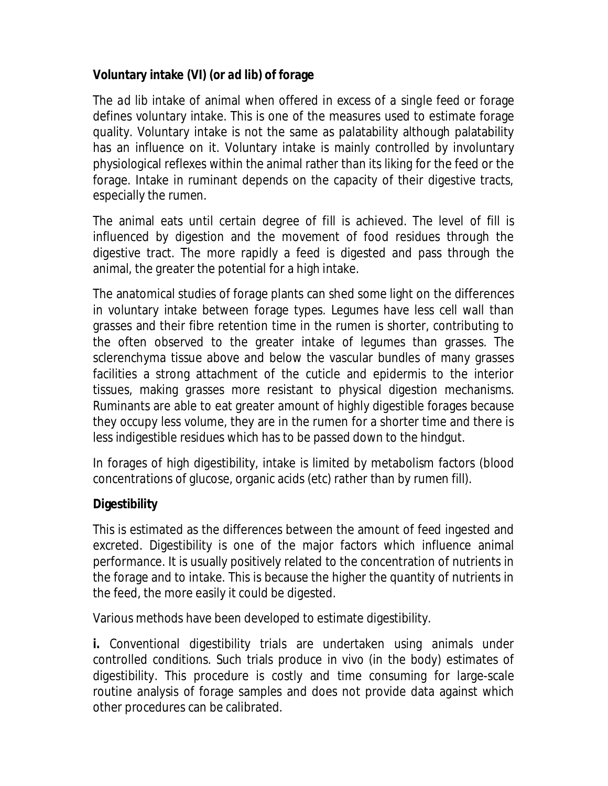# **Voluntary intake (VI) (or** *ad lib***) of forage**

The *ad lib* intake of animal when offered *in excess of a single feed* or forage defines voluntary intake. This is one of the measures used to estimate forage quality. Voluntary intake is not the same as palatability although palatability has an influence on it. Voluntary intake is mainly controlled by involuntary physiological reflexes within the animal rather than its liking for the feed or the forage. Intake in ruminant depends on the capacity of their digestive tracts, especially the rumen.

The animal eats until certain degree of fill is achieved. The level of fill is influenced by digestion and the movement of food residues through the digestive tract. The more rapidly a feed is digested and pass through the animal, the greater the potential for a high intake.

The anatomical studies of forage plants can shed some light on the differences in voluntary intake between forage types. Legumes have less cell wall than grasses and their fibre retention time in the rumen is shorter, contributing to the often observed to the greater intake of legumes than grasses. The sclerenchyma tissue above and below the vascular bundles of many grasses facilities a strong attachment of the cuticle and epidermis to the interior tissues, making grasses more resistant to physical digestion mechanisms. Ruminants are able to eat greater amount of highly digestible forages because they occupy less volume, they are in the rumen for a shorter time and there is less indigestible residues which has to be passed down to the hindgut.

In forages of high digestibility, intake is limited by metabolism factors (blood concentrations of glucose, organic acids (etc) rather than by rumen fill).

# **Digestibility**

This is estimated as the differences between the amount of feed ingested and excreted. Digestibility is one of the major factors which influence animal performance. It is usually positively related to the concentration of nutrients in the forage and to intake. This is because the higher the quantity of nutrients in the feed, the more easily it could be digested.

Various methods have been developed to estimate digestibility.

**i.** Conventional digestibility trials are undertaken using animals under controlled conditions. Such trials produce *in vivo* (in the body) estimates of digestibility. This procedure is costly and time consuming for large-scale routine analysis of forage samples and does not provide data against which other procedures can be calibrated.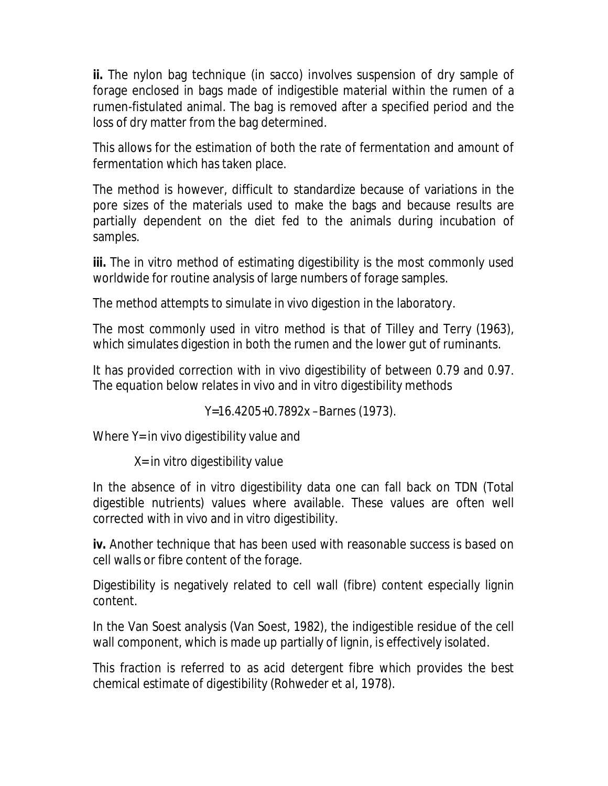**ii.** The nylon bag technique (*in sacco*) involves suspension of dry sample of forage enclosed in bags made of indigestible material within the rumen of a rumen-fistulated animal. The bag is removed after a specified period and the loss of dry matter from the bag determined.

This allows for the estimation of both the rate of fermentation and amount of fermentation which has taken place.

The method is however, difficult to standardize because of variations in the pore sizes of the materials used to make the bags and because results are partially dependent on the diet fed to the animals during incubation of samples.

**iii.** The *in vitro* method of estimating digestibility is the most commonly used worldwide for routine analysis of large numbers of forage samples.

The method attempts to simulate *in vivo* digestion in the laboratory.

The most commonly used *in vitro* method is that of Tilley and Terry (1963), which simulates digestion in both the rumen and the lower gut of ruminants.

It has provided correction with *in vivo* digestibility of between 0.79 and 0.97. The equation below relates *in vivo* and *in vitro* digestibility methods

Y=16.4205+0.7892x –Barnes (1973).

Where Y= *in vivo* digestibility value and

X= *in vitro* digestibility value

In the absence of *in vitro* digestibility data one can fall back on TDN (Total digestible nutrients) values where available. These values are often well corrected with *in vivo* and *in vitro* digestibility.

**iv.** Another technique that has been used with reasonable success is based on cell walls or fibre content of the forage.

Digestibility is negatively related to cell wall (fibre) content especially lignin content.

In the Van Soest analysis (Van Soest, 1982), the indigestible residue of the cell wall component, which is made up partially of lignin, is effectively isolated.

This fraction is referred to as acid detergent fibre which provides the best chemical estimate of digestibility (Rohweder *et al,* 1978).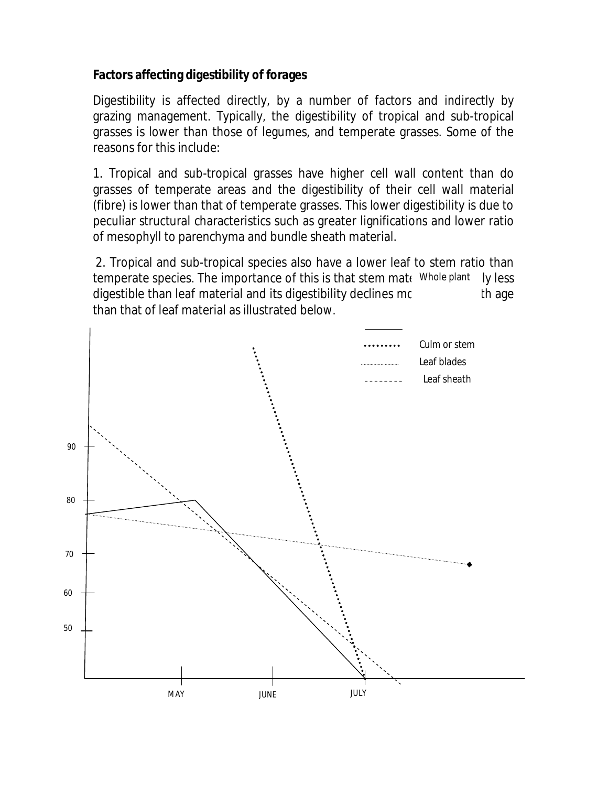#### **Factors affecting digestibility of forages**

Digestibility is affected directly, by a number of factors and indirectly by grazing management. Typically, the digestibility of tropical and sub-tropical grasses is lower than those of legumes, and temperate grasses. Some of the reasons for this include:

1. Tropical and sub-tropical grasses have higher cell wall content than do grasses of temperate areas and the digestibility of their cell wall material (fibre) is lower than that of temperate grasses. This lower digestibility is due to peculiar structural characteristics such as greater lignifications and lower ratio of mesophyll to parenchyma and bundle sheath material.

2. Tropical and sub-tropical species also have a lower leaf to stem ratio than temperate species. The importance of this is that stem mate Whole plant ly less digestible than leaf material and its digestibility declines morning thage than that of leaf material as illustrated below.

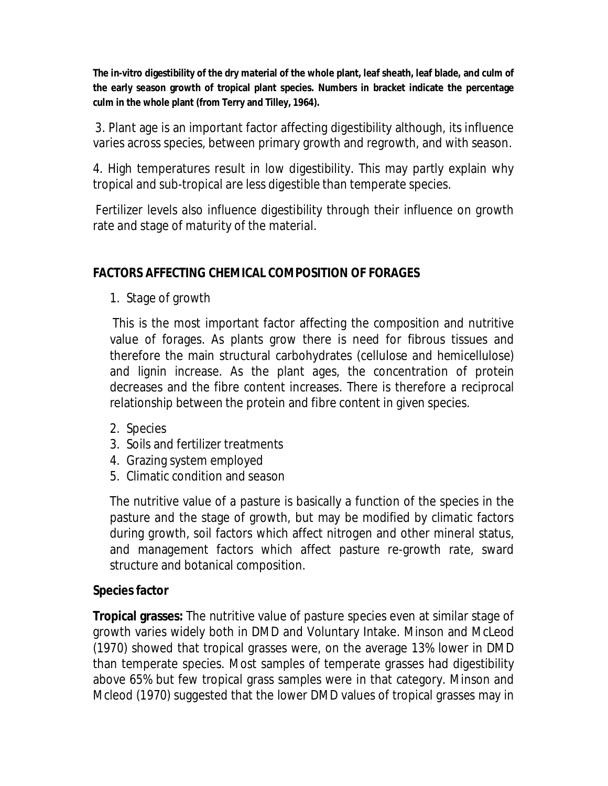**The in-vitro digestibility of the dry material of the whole plant, leaf sheath, leaf blade, and culm of the early season growth of tropical plant species. Numbers in bracket indicate the percentage culm in the whole plant (from Terry and Tilley, 1964).**

3. Plant age is an important factor affecting digestibility although, its influence varies across species, between primary growth and regrowth, and with season.

4. High temperatures result in low digestibility. This may partly explain why tropical and sub-tropical are less digestible than temperate species.

Fertilizer levels also influence digestibility through their influence on growth rate and stage of maturity of the material.

#### **FACTORS AFFECTING CHEMICAL COMPOSITION OF FORAGES**

1. Stage of growth

This is the most important factor affecting the composition and nutritive value of forages. As plants grow there is need for fibrous tissues and therefore the main structural carbohydrates (cellulose and hemicellulose) and lignin increase. As the plant ages, the concentration of protein decreases and the fibre content increases. There is therefore a reciprocal relationship between the protein and fibre content in given species.

- 2. Species
- 3. Soils and fertilizer treatments
- 4. Grazing system employed
- 5. Climatic condition and season

The nutritive value of a pasture is basically a function of the species in the pasture and the stage of growth, but may be modified by climatic factors during growth, soil factors which affect nitrogen and other mineral status, and management factors which affect pasture re-growth rate, sward structure and botanical composition.

#### **Species factor**

**Tropical grasses:** The nutritive value of pasture species even at similar stage of growth varies widely both in DMD and Voluntary Intake. Minson and McLeod (1970) showed that tropical grasses were, on the average 13% lower in DMD than temperate species. Most samples of temperate grasses had digestibility above 65% but few tropical grass samples were in that category. Minson and Mcleod (1970) suggested that the lower DMD values of tropical grasses may in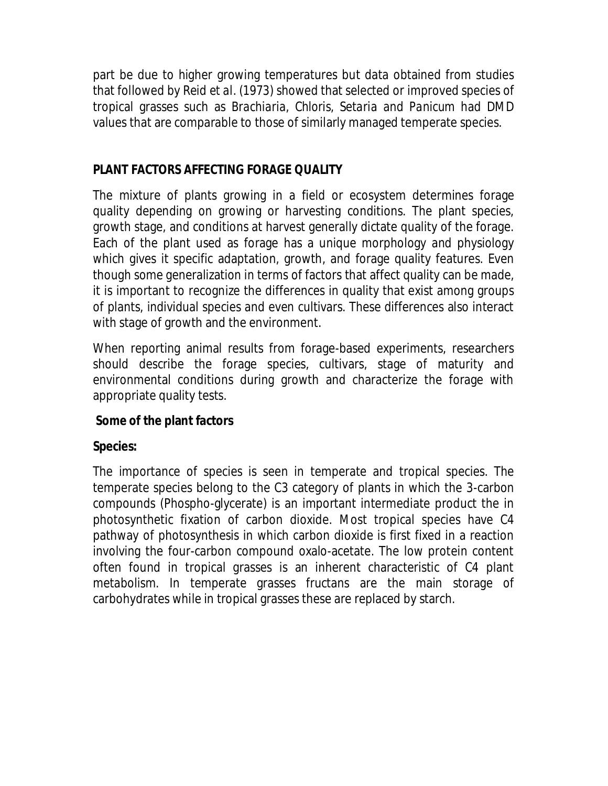part be due to higher growing temperatures but data obtained from studies that followed by Reid *et al*. (1973) showed that selected or improved species of tropical grasses such as *Brachiaria, Chloris, Setaria* and *Panicum* had DMD values that are comparable to those of similarly managed temperate species.

#### **PLANT FACTORS AFFECTING FORAGE QUALITY**

The mixture of plants growing in a field or ecosystem determines forage quality depending on growing or harvesting conditions. The plant species, growth stage, and conditions at harvest generally dictate quality of the forage. Each of the plant used as forage has a unique morphology and physiology which gives it specific adaptation, growth, and forage quality features. Even though some generalization in terms of factors that affect quality can be made, it is important to recognize the differences in quality that exist among groups of plants, individual species and even cultivars. These differences also interact with stage of growth and the environment.

When reporting animal results from forage-based experiments, researchers should describe the forage species, cultivars, stage of maturity and environmental conditions during growth and characterize the forage with appropriate quality tests.

# **Some of the plant factors**

#### **Species:**

The importance of species is seen in temperate and tropical species. The temperate species belong to the C3 category of plants in which the 3-carbon compounds (Phospho-glycerate) is an important intermediate product the in photosynthetic fixation of carbon dioxide. Most tropical species have C4 pathway of photosynthesis in which carbon dioxide is first fixed in a reaction involving the four-carbon compound oxalo-acetate. The low protein content often found in tropical grasses is an inherent characteristic of C4 plant metabolism. In temperate grasses fructans are the main storage of carbohydrates while in tropical grasses these are replaced by starch.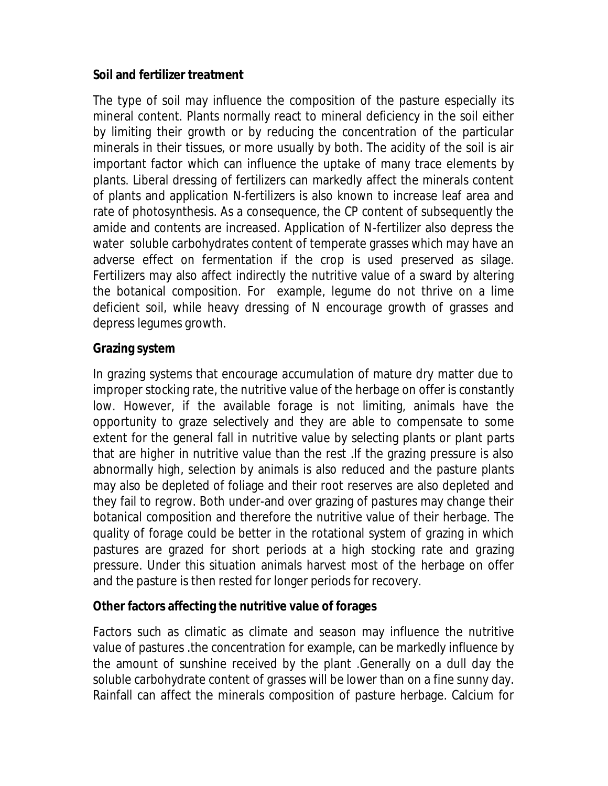#### **Soil and fertilizer treatment**

The type of soil may influence the composition of the pasture especially its mineral content. Plants normally react to mineral deficiency in the soil either by limiting their growth or by reducing the concentration of the particular minerals in their tissues, or more usually by both. The acidity of the soil is air important factor which can influence the uptake of many trace elements by plants. Liberal dressing of fertilizers can markedly affect the minerals content of plants and application N-fertilizers is also known to increase leaf area and rate of photosynthesis. As a consequence, the CP content of subsequently the amide and contents are increased. Application of N-fertilizer also depress the water soluble carbohydrates content of temperate grasses which may have an adverse effect on fermentation if the crop is used preserved as silage. Fertilizers may also affect indirectly the nutritive value of a sward by altering the botanical composition. For example, legume do not thrive on a lime deficient soil, while heavy dressing of N encourage growth of grasses and depress legumes growth.

#### **Grazing system**

In grazing systems that encourage accumulation of mature dry matter due to improper stocking rate, the nutritive value of the herbage on offer is constantly low. However, if the available forage is not limiting, animals have the opportunity to graze selectively and they are able to compensate to some extent for the general fall in nutritive value by selecting plants or plant parts that are higher in nutritive value than the rest .If the grazing pressure is also abnormally high, selection by animals is also reduced and the pasture plants may also be depleted of foliage and their root reserves are also depleted and they fail to regrow. Both under-and over grazing of pastures may change their botanical composition and therefore the nutritive value of their herbage. The quality of forage could be better in the rotational system of grazing in which pastures are grazed for short periods at a high stocking rate and grazing pressure. Under this situation animals harvest most of the herbage on offer and the pasture is then rested for longer periods for recovery.

#### **Other factors affecting the nutritive value of forages**

Factors such as climatic as climate and season may influence the nutritive value of pastures .the concentration for example, can be markedly influence by the amount of sunshine received by the plant .Generally on a dull day the soluble carbohydrate content of grasses will be lower than on a fine sunny day. Rainfall can affect the minerals composition of pasture herbage. Calcium for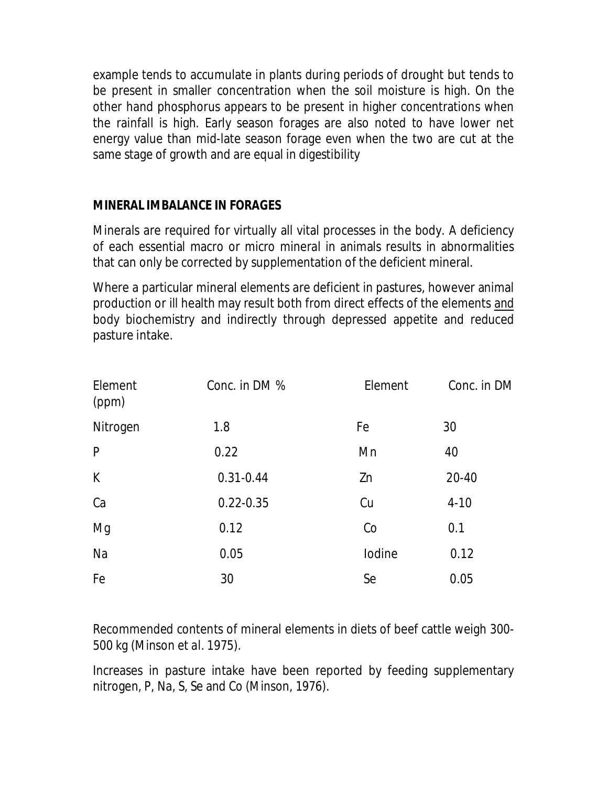example tends to accumulate in plants during periods of drought but tends to be present in smaller concentration when the soil moisture is high. On the other hand phosphorus appears to be present in higher concentrations when the rainfall is high. Early season forages are also noted to have lower net energy value than mid-late season forage even when the two are cut at the same stage of growth and are equal in digestibility

#### **MINERAL IMBALANCE IN FORAGES**

Minerals are required for virtually all vital processes in the body. A deficiency of each essential macro or micro mineral in animals results in abnormalities that can only be corrected by supplementation of the deficient mineral.

Where a particular mineral elements are deficient in pastures, however animal production or ill health may result both from direct effects of the elements and body biochemistry and indirectly through depressed appetite and reduced pasture intake.

| Element<br>(ppm) | Conc. in DM % | Element | Conc. in DM |
|------------------|---------------|---------|-------------|
| Nitrogen         | 1.8           | Fe      | 30          |
| P                | 0.22          | Mn      | 40          |
| K                | $0.31 - 0.44$ | Zn      | 20-40       |
| Ca               | $0.22 - 0.35$ | Cu      | $4 - 10$    |
| Mg               | 0.12          | Co      | 0.1         |
| Na               | 0.05          | lodine  | 0.12        |
| Fe               | 30            | Se      | 0.05        |

Recommended contents of mineral elements in diets of beef cattle weigh 300- 500 kg (Minson *et al.* 1975).

Increases in pasture intake have been reported by feeding supplementary nitrogen, P, Na, S, Se and Co (Minson, 1976).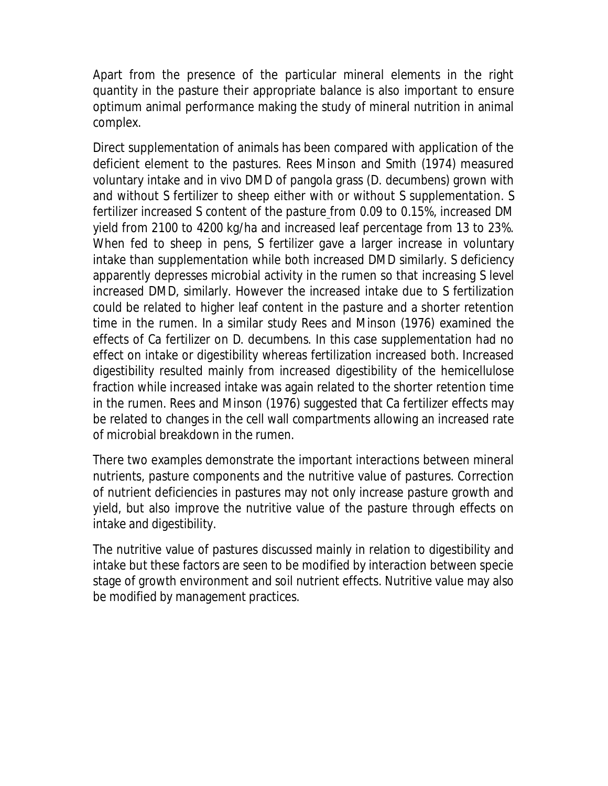Apart from the presence of the particular mineral elements in the right quantity in the pasture their appropriate balance is also important to ensure optimum animal performance making the study of mineral nutrition in animal complex.

Direct supplementation of animals has been compared with application of the deficient element to the pastures. Rees Minson and Smith (1974) measured voluntary intake and *in vivo* DMD of pangola grass (*D. decumbens*) grown with and without S fertilizer to sheep either with or without S supplementation. S fertilizer increased S content of the pasture from 0.09 to 0.15%, increased DM yield from 2100 to 4200 kg/ha and increased leaf percentage from 13 to 23%. When fed to sheep in pens, S fertilizer gave a larger increase in voluntary intake than supplementation while both increased DMD similarly. S deficiency apparently depresses microbial activity in the rumen so that increasing S level increased DMD, similarly. However the increased intake due to S fertilization could be related to higher leaf content in the pasture and a shorter retention time in the rumen. In a similar study Rees and Minson (1976) examined the effects of Ca fertilizer on *D. decumbens.* In this case supplementation had no effect on intake or digestibility whereas fertilization increased both. Increased digestibility resulted mainly from increased digestibility of the hemicellulose fraction while increased intake was again related to the shorter retention time in the rumen. Rees and Minson (1976) suggested that Ca fertilizer effects may be related to changes in the cell wall compartments allowing an increased rate of microbial breakdown in the rumen.

There two examples demonstrate the important interactions between mineral nutrients, pasture components and the nutritive value of pastures. Correction of nutrient deficiencies in pastures may not only increase pasture growth and yield, but also improve the nutritive value of the pasture through effects on intake and digestibility.

The nutritive value of pastures discussed mainly in relation to digestibility and intake but these factors are seen to be modified by interaction between specie stage of growth environment and soil nutrient effects. Nutritive value may also be modified by management practices.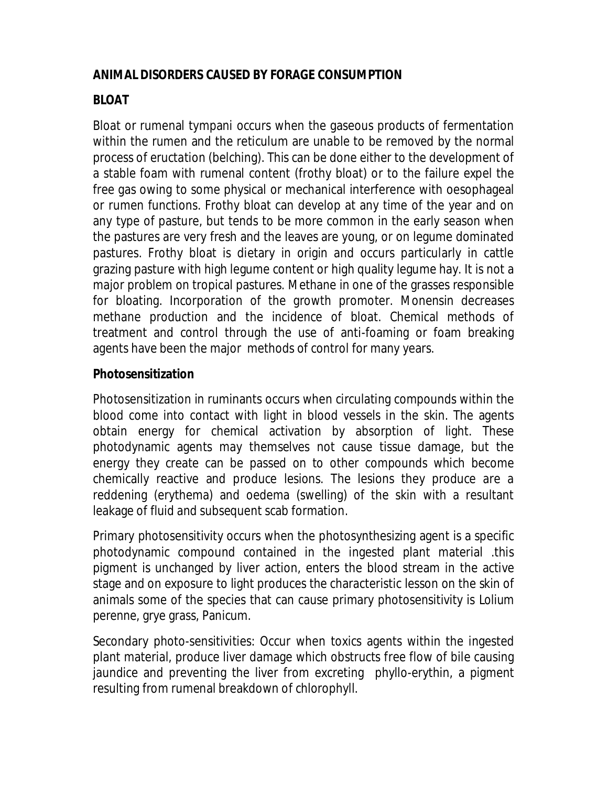# **ANIMAL DISORDERS CAUSED BY FORAGE CONSUMPTION**

# **BLOAT**

Bloat or rumenal tympani occurs when the gaseous products of fermentation within the rumen and the reticulum are unable to be removed by the normal process of eructation (belching). This can be done either to the development of a stable foam with rumenal content (frothy bloat) or to the failure expel the free gas owing to some physical or mechanical interference with oesophageal or rumen functions. Frothy bloat can develop at any time of the year and on any type of pasture, but tends to be more common in the early season when the pastures are very fresh and the leaves are young, or on legume dominated pastures. Frothy bloat is dietary in origin and occurs particularly in cattle grazing pasture with high legume content or high quality legume hay. It is not a major problem on tropical pastures. Methane in one of the grasses responsible for bloating. Incorporation of the growth promoter. Monensin decreases methane production and the incidence of bloat. Chemical methods of treatment and control through the use of anti-foaming or foam breaking agents have been the major methods of control for many years.

# **Photosensitization**

Photosensitization in ruminants occurs when circulating compounds within the blood come into contact with light in blood vessels in the skin. The agents obtain energy for chemical activation by absorption of light. These photodynamic agents may themselves not cause tissue damage, but the energy they create can be passed on to other compounds which become chemically reactive and produce lesions. The lesions they produce are a reddening (erythema) and oedema (swelling) of the skin with a resultant leakage of fluid and subsequent scab formation.

Primary photosensitivity occurs when the photosynthesizing agent is a specific photodynamic compound contained in the ingested plant material .this pigment is unchanged by liver action, enters the blood stream in the active stage and on exposure to light produces the characteristic lesson on the skin of animals some of the species that can cause primary photosensitivity is *Lolium perenne*, grye grass, Panicum.

Secondary photo-sensitivities: Occur when toxics agents within the ingested plant material, produce liver damage which obstructs free flow of bile causing jaundice and preventing the liver from excreting phyllo-erythin, a pigment resulting from rumenal breakdown of chlorophyll.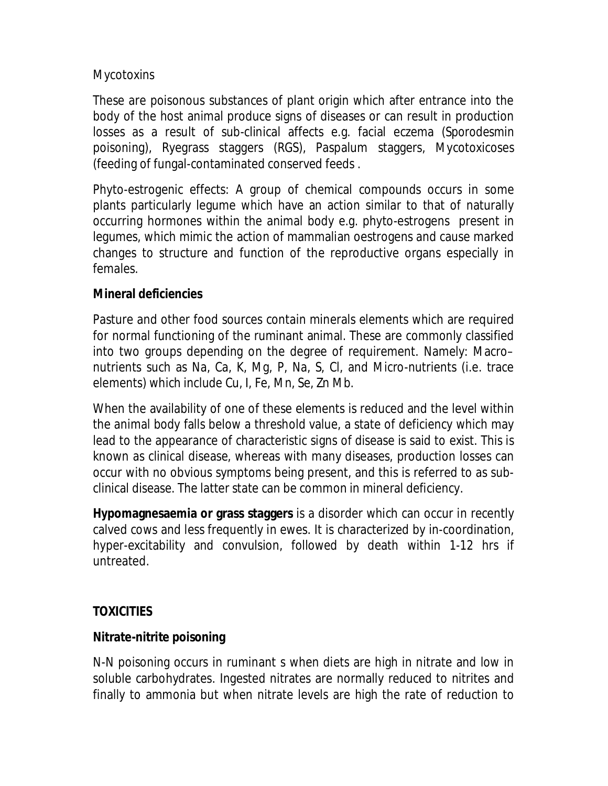#### **Mycotoxins**

These are poisonous substances of plant origin which after entrance into the body of the host animal produce signs of diseases or can result in production losses as a result of sub-clinical affects e.g. facial eczema (*Sporodesmin* poisoning), Ryegrass staggers (RGS), Paspalum staggers, Mycotoxicoses (feeding of fungal-contaminated conserved feeds .

Phyto-estrogenic effects: A group of chemical compounds occurs in some plants particularly legume which have an action similar to that of naturally occurring hormones within the animal body e.g. phyto-estrogens present in legumes, which mimic the action of mammalian oestrogens and cause marked changes to structure and function of the reproductive organs especially in females.

# **Mineral deficiencies**

Pasture and other food sources contain minerals elements which are required for normal functioning of the ruminant animal. These are commonly classified into two groups depending on the degree of requirement. Namely: Macro– nutrients such as Na, Ca, K, Mg, P, Na, S, Cl, and Micro-nutrients (i.e. trace elements) which include Cu, I, Fe, Mn, Se, Zn Mb.

When the availability of one of these elements is reduced and the level within the animal body falls below a threshold value, a state of deficiency which may lead to the appearance of characteristic signs of disease is said to exist. This is known as clinical disease, whereas with many diseases, production losses can occur with no obvious symptoms being present, and this is referred to as subclinical disease. The latter state can be common in mineral deficiency.

**Hypomagnesaemia or grass staggers** is a disorder which can occur in recently calved cows and less frequently in ewes. It is characterized by in-coordination, hyper-excitability and convulsion, followed by death within 1-12 hrs if untreated.

# **TOXICITIES**

# **Nitrate-nitrite poisoning**

N-N poisoning occurs in ruminant s when diets are high in nitrate and low in soluble carbohydrates. Ingested nitrates are normally reduced to nitrites and finally to ammonia but when nitrate levels are high the rate of reduction to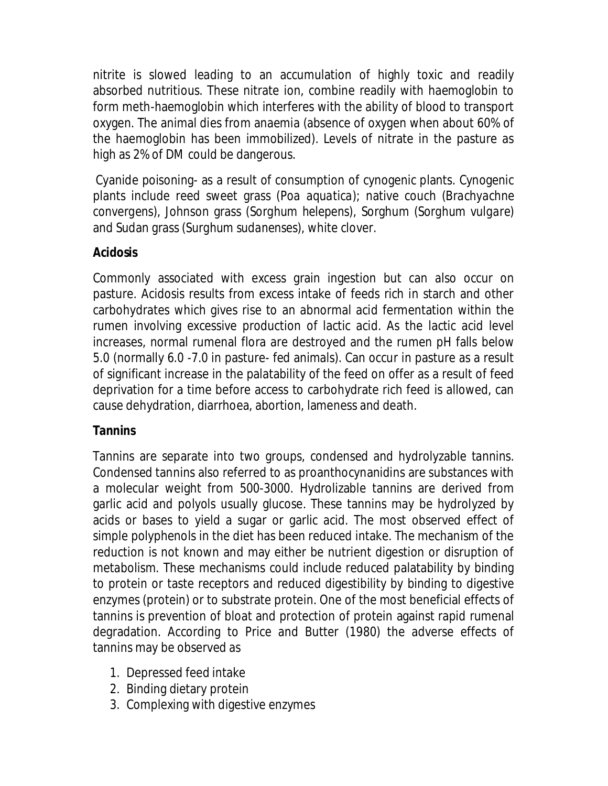nitrite is slowed leading to an accumulation of highly toxic and readily absorbed nutritious. These nitrate ion, combine readily with haemoglobin to form meth-haemoglobin which interferes with the ability of blood to transport oxygen. The animal dies from anaemia (absence of oxygen when about 60% of the haemoglobin has been immobilized). Levels of nitrate in the pasture as high as 2% of DM could be dangerous.

Cyanide poisoning- as a result of consumption of cynogenic plants. Cynogenic plants include reed sweet grass (*Poa aquatica*); native couch (*Brachyachne convergens*), Johnson grass (*Sorghum helepens*), Sorghum (*Sorghum vulgare*) and Sudan grass (*Surghum sudanenses*), white clover.

#### **Acidosis**

Commonly associated with excess grain ingestion but can also occur on pasture. Acidosis results from excess intake of feeds rich in starch and other carbohydrates which gives rise to an abnormal acid fermentation within the rumen involving excessive production of lactic acid. As the lactic acid level increases, normal rumenal flora are destroyed and the rumen pH falls below 5.0 (normally 6.0 -7.0 in pasture- fed animals). Can occur in pasture as a result of significant increase in the palatability of the feed on offer as a result of feed deprivation for a time before access to carbohydrate rich feed is allowed, can cause dehydration, diarrhoea, abortion, lameness and death.

#### **Tannins**

Tannins are separate into two groups, condensed and hydrolyzable tannins. Condensed tannins also referred to as proanthocynanidins are substances with a molecular weight from 500-3000. Hydrolizable tannins are derived from garlic acid and polyols usually glucose. These tannins may be hydrolyzed by acids or bases to yield a sugar or garlic acid. The most observed effect of simple polyphenols in the diet has been reduced intake. The mechanism of the reduction is not known and may either be nutrient digestion or disruption of metabolism. These mechanisms could include reduced palatability by binding to protein or taste receptors and reduced digestibility by binding to digestive enzymes (protein) or to substrate protein. One of the most beneficial effects of tannins is prevention of bloat and protection of protein against rapid rumenal degradation. According to Price and Butter (1980) the adverse effects of tannins may be observed as

- 1. Depressed feed intake
- 2. Binding dietary protein
- 3. Complexing with digestive enzymes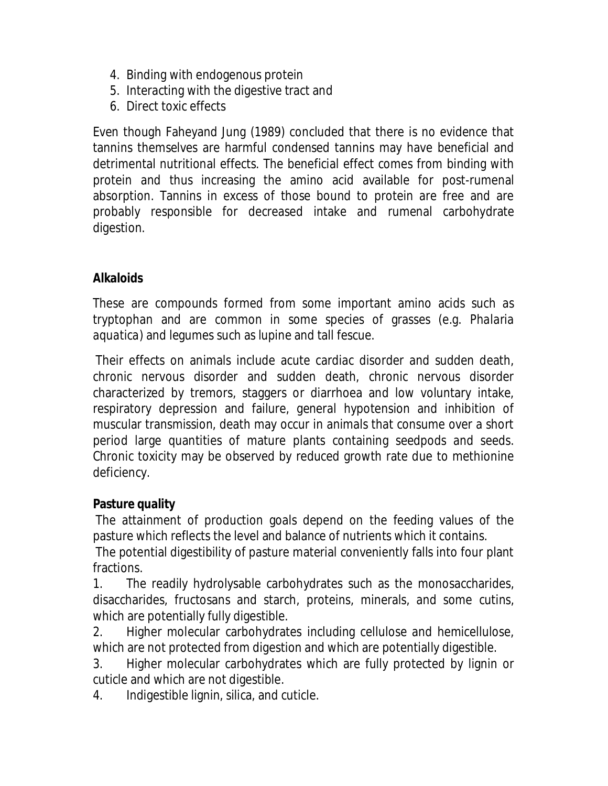- 4. Binding with endogenous protein
- 5. Interacting with the digestive tract and
- 6. Direct toxic effects

Even though Faheyand Jung (1989) concluded that there is no evidence that tannins themselves are harmful condensed tannins may have beneficial and detrimental nutritional effects. The beneficial effect comes from binding with protein and thus increasing the amino acid available for post-rumenal absorption. Tannins in excess of those bound to protein are free and are probably responsible for decreased intake and rumenal carbohydrate digestion.

#### **Alkaloids**

These are compounds formed from some important amino acids such as tryptophan and are common in some species of grasses (e.g. *Phalaria aquatica*) and legumes such as lupine and tall fescue.

Their effects on animals include acute cardiac disorder and sudden death, chronic nervous disorder and sudden death, chronic nervous disorder characterized by tremors, staggers or diarrhoea and low voluntary intake, respiratory depression and failure, general hypotension and inhibition of muscular transmission, death may occur in animals that consume over a short period large quantities of mature plants containing seedpods and seeds. Chronic toxicity may be observed by reduced growth rate due to methionine deficiency.

#### **Pasture quality**

The attainment of production goals depend on the feeding values of the pasture which reflects the level and balance of nutrients which it contains.

The potential digestibility of pasture material conveniently falls into four plant fractions.

1. The readily hydrolysable carbohydrates such as the monosaccharides, disaccharides, fructosans and starch, proteins, minerals, and some cutins, which are potentially fully digestible.

2. Higher molecular carbohydrates including cellulose and hemicellulose, which are not protected from digestion and which are potentially digestible.

3. Higher molecular carbohydrates which are fully protected by lignin or cuticle and which are not digestible.

4. Indigestible lignin, silica, and cuticle.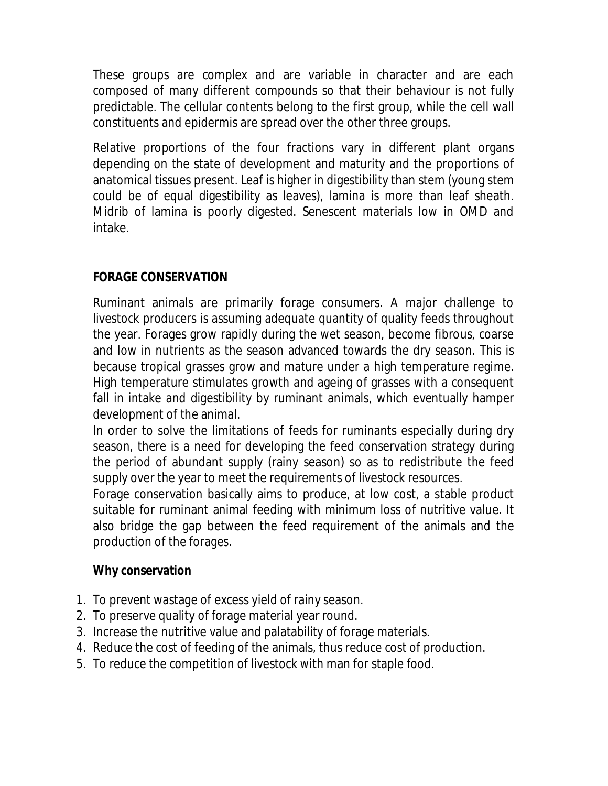These groups are complex and are variable in character and are each composed of many different compounds so that their behaviour is not fully predictable. The cellular contents belong to the first group, while the cell wall constituents and epidermis are spread over the other three groups.

Relative proportions of the four fractions vary in different plant organs depending on the state of development and maturity and the proportions of anatomical tissues present. Leaf is higher in digestibility than stem (young stem could be of equal digestibility as leaves), lamina is more than leaf sheath. Midrib of lamina is poorly digested. Senescent materials low in OMD and intake.

# **FORAGE CONSERVATION**

Ruminant animals are primarily forage consumers. A major challenge to livestock producers is assuming adequate quantity of quality feeds throughout the year. Forages grow rapidly during the wet season, become fibrous, coarse and low in nutrients as the season advanced towards the dry season. This is because tropical grasses grow and mature under a high temperature regime. High temperature stimulates growth and ageing of grasses with a consequent fall in intake and digestibility by ruminant animals, which eventually hamper development of the animal.

In order to solve the limitations of feeds for ruminants especially during dry season, there is a need for developing the feed conservation strategy during the period of abundant supply (rainy season) so as to redistribute the feed supply over the year to meet the requirements of livestock resources.

Forage conservation basically aims to produce, at low cost, a stable product suitable for ruminant animal feeding with minimum loss of nutritive value. It also bridge the gap between the feed requirement of the animals and the production of the forages.

# **Why conservation**

- 1. To prevent wastage of excess yield of rainy season.
- 2. To preserve quality of forage material year round.
- 3. Increase the nutritive value and palatability of forage materials.
- 4. Reduce the cost of feeding of the animals, thus reduce cost of production.
- 5. To reduce the competition of livestock with man for staple food.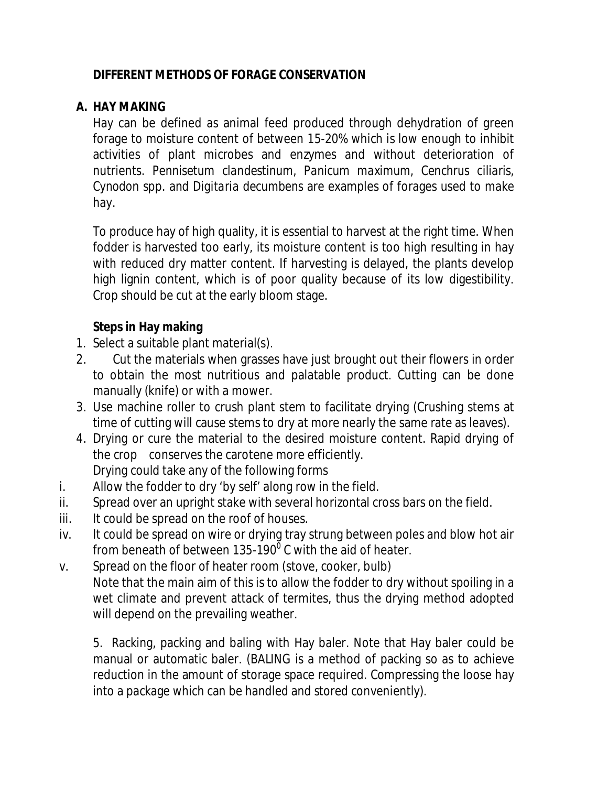# **DIFFERENT METHODS OF FORAGE CONSERVATION**

#### **A. HAY MAKING**

Hay can be defined as animal feed produced through dehydration of green forage to moisture content of between 15-20% which is low enough to inhibit activities of plant microbes and enzymes and without deterioration of nutrients. *Pennisetum clandestinum, Panicum maximum, Cenchrus ciliaris, Cynodon* spp*.* and *Digitaria decumbens* are examples of forages used to make hay.

To produce hay of high quality, it is essential to harvest at the right time. When fodder is harvested too early, its moisture content is too high resulting in hay with reduced dry matter content. If harvesting is delayed, the plants develop high lignin content, which is of poor quality because of its low digestibility. Crop should be cut at the early bloom stage.

# **Steps in Hay making**

- 1. Select a suitable plant material(s).
- 2. Cut the materials when grasses have just brought out their flowers in order to obtain the most nutritious and palatable product. Cutting can be done manually (knife) or with a mower.
- 3. Use machine roller to crush plant stem to facilitate drying (Crushing stems at time of cutting will cause stems to dry at more nearly the same rate as leaves).
- 4. Drying or cure the material to the desired moisture content. Rapid drying of the crop conserves the carotene more efficiently. Drying could take any of the following forms
- i. Allow the fodder to dry 'by self' along row in the field.
- ii. Spread over an upright stake with several horizontal cross bars on the field.
- iii. It could be spread on the roof of houses.
- iv. It could be spread on wire or drying tray strung between poles and blow hot air from beneath of between 135-190 $^{\rm o}$  C with the aid of heater.
- v. Spread on the floor of heater room (stove, cooker, bulb) Note that the main aim of this is to allow the fodder to dry without spoiling in a wet climate and prevent attack of termites, thus the drying method adopted will depend on the prevailing weather.

5. Racking, packing and baling with Hay baler. Note that Hay baler could be manual or automatic baler. (BALING is a method of packing so as to achieve reduction in the amount of storage space required. Compressing the loose hay into a package which can be handled and stored conveniently).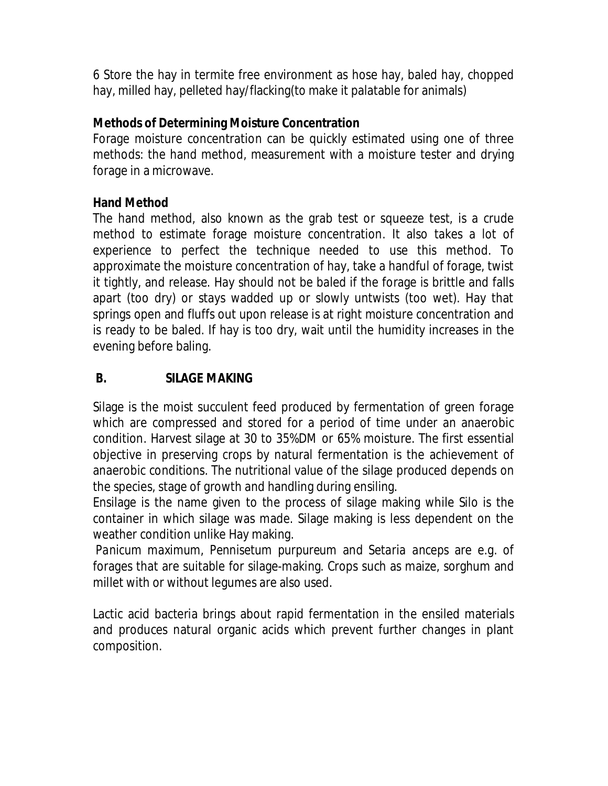6 Store the hay in termite free environment as hose hay, baled hay, chopped hay, milled hay, pelleted hay/flacking(to make it palatable for animals)

## **Methods of Determining Moisture Concentration**

Forage moisture concentration can be quickly estimated using one of three methods: the hand method, measurement with a moisture tester and drying forage in a microwave.

#### **Hand Method**

The hand method, also known as the grab test or squeeze test, is a crude method to estimate forage moisture concentration. It also takes a lot of experience to perfect the technique needed to use this method. To approximate the moisture concentration of hay, take a handful of forage, twist it tightly, and release. Hay should not be baled if the forage is brittle and falls apart (too dry) or stays wadded up or slowly untwists (too wet). Hay that springs open and fluffs out upon release is at right moisture concentration and is ready to be baled. If hay is too dry, wait until the humidity increases in the evening before baling.

# **B. SILAGE MAKING**

Silage is the moist succulent feed produced by fermentation of green forage which are compressed and stored for a period of time under an anaerobic condition. Harvest silage at 30 to 35%DM or 65% moisture. The first essential objective in preserving crops by natural fermentation is the achievement of anaerobic conditions. The nutritional value of the silage produced depends on the species, stage of growth and handling during ensiling.

Ensilage is the name given to the process of silage making while Silo is the container in which silage was made. Silage making is less dependent on the weather condition unlike Hay making.

*Panicum maximum, Pennisetum purpureum* and *Setaria anceps* are e.g. of forages that are suitable for silage-making. Crops such as maize, sorghum and millet with or without legumes are also used.

Lactic acid bacteria brings about rapid fermentation in the ensiled materials and produces natural organic acids which prevent further changes in plant composition.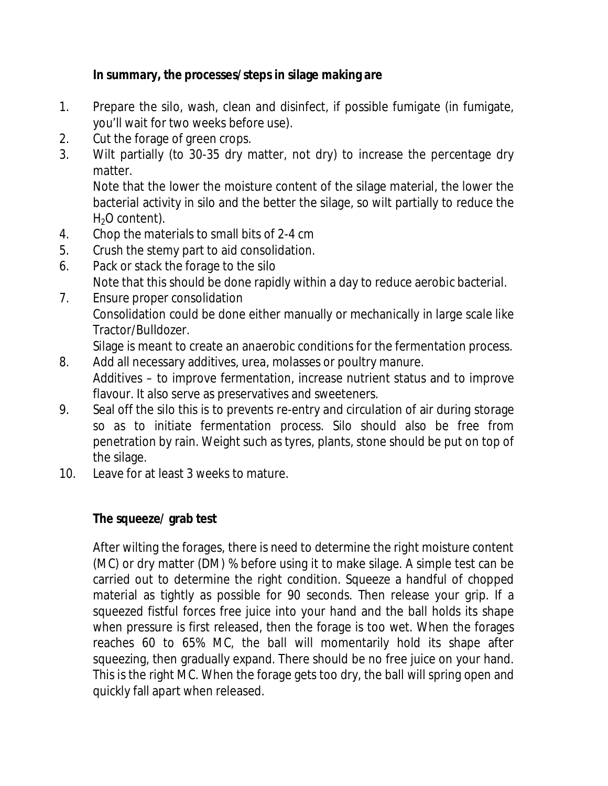# **In summary, the processes/steps in silage making are**

- 1. Prepare the silo, wash, clean and disinfect, if possible fumigate (in fumigate, you'll wait for two weeks before use).
- 2. Cut the forage of green crops.
- 3. Wilt partially (to 30-35 dry matter, not dry) to increase the percentage dry matter.

Note that the lower the moisture content of the silage material, the lower the bacterial activity in silo and the better the silage, so wilt partially to reduce the  $H<sub>2</sub>O$  content).

- 4. Chop the materials to small bits of 2-4 cm
- 5. Crush the stemy part to aid consolidation.
- 6. Pack or stack the forage to the silo Note that this should be done rapidly within a day to reduce aerobic bacterial.
- 7. Ensure proper consolidation Consolidation could be done either manually or mechanically in large scale like Tractor/Bulldozer.

Silage is meant to create an anaerobic conditions for the fermentation process.

- 8. Add all necessary additives, urea, molasses or poultry manure. Additives – to improve fermentation, increase nutrient status and to improve flavour. It also serve as preservatives and sweeteners.
- 9. Seal off the silo this is to prevents re-entry and circulation of air during storage so as to initiate fermentation process. Silo should also be free from penetration by rain. Weight such as tyres, plants, stone should be put on top of the silage.
- 10. Leave for at least 3 weeks to mature.

# **The squeeze/ grab test**

After wilting the forages, there is need to determine the right moisture content (MC) or dry matter (DM) % before using it to make silage. A simple test can be carried out to determine the right condition. Squeeze a handful of chopped material as tightly as possible for 90 seconds. Then release your grip. If a squeezed fistful forces free juice into your hand and the ball holds its shape when pressure is first released, then the forage is too wet. When the forages reaches 60 to 65% MC, the ball will momentarily hold its shape after squeezing, then gradually expand. There should be no free juice on your hand. This is the right MC. When the forage gets too dry, the ball will spring open and quickly fall apart when released.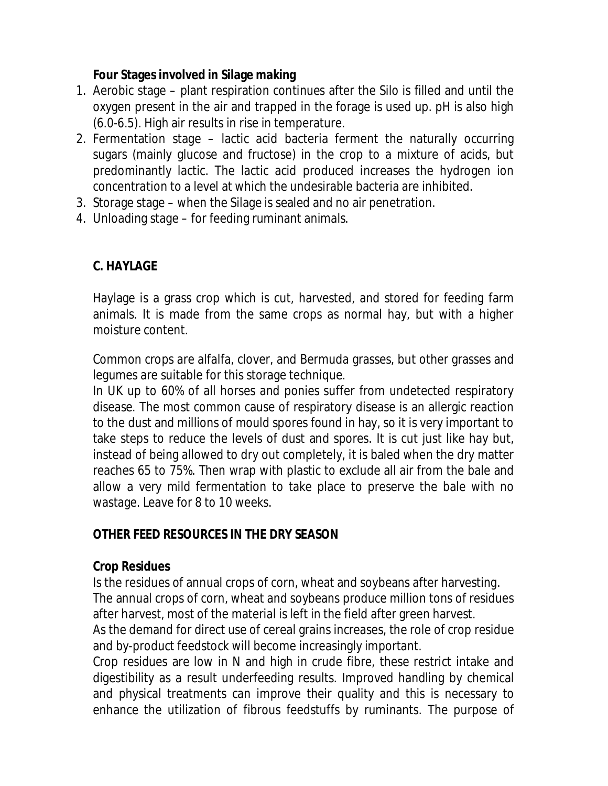#### **Four Stages involved in Silage making**

- 1. Aerobic stage plant respiration continues after the Silo is filled and until the oxygen present in the air and trapped in the forage is used up. pH is also high (6.0-6.5). High air results in rise in temperature.
- 2. Fermentation stage lactic acid bacteria ferment the naturally occurring sugars (mainly glucose and fructose) in the crop to a mixture of acids, but predominantly lactic. The lactic acid produced increases the hydrogen ion concentration to a level at which the undesirable bacteria are inhibited.
- 3. Storage stage when the Silage is sealed and no air penetration.
- 4. Unloading stage for feeding ruminant animals.

# **C. HAYLAGE**

Haylage is a grass crop which is cut, harvested, and stored for feeding farm animals. It is made from the same crops as normal hay, but with a higher moisture content.

Common crops are alfalfa, clover, and Bermuda grasses, but other grasses and legumes are suitable for this storage technique.

In UK up to 60% of all horses and ponies suffer from undetected respiratory disease. The most common cause of respiratory disease is an allergic reaction to the dust and millions of mould spores found in hay, so it is very important to take steps to reduce the levels of dust and spores. It is cut just like hay but, instead of being allowed to dry out completely, it is baled when the dry matter reaches 65 to 75%. Then wrap with plastic to exclude all air from the bale and allow a very mild fermentation to take place to preserve the bale with no wastage. Leave for 8 to 10 weeks.

#### **OTHER FEED RESOURCES IN THE DRY SEASON**

#### **Crop Residues**

Is the residues of annual crops of corn, wheat and soybeans after harvesting. The annual crops of corn, wheat and soybeans produce million tons of residues after harvest, most of the material is left in the field after green harvest.

As the demand for direct use of cereal grains increases, the role of crop residue and by-product feedstock will become increasingly important.

Crop residues are low in N and high in crude fibre, these restrict intake and digestibility as a result underfeeding results. Improved handling by chemical and physical treatments can improve their quality and this is necessary to enhance the utilization of fibrous feedstuffs by ruminants. The purpose of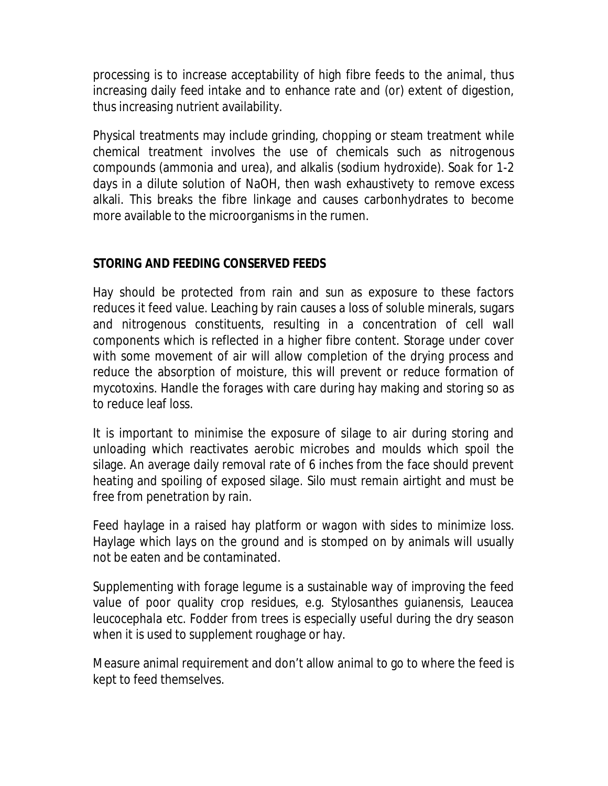processing is to increase acceptability of high fibre feeds to the animal, thus increasing daily feed intake and to enhance rate and (or) extent of digestion, thus increasing nutrient availability.

Physical treatments may include grinding, chopping or steam treatment while chemical treatment involves the use of chemicals such as nitrogenous compounds (ammonia and urea), and alkalis (sodium hydroxide). Soak for 1-2 days in a dilute solution of NaOH, then wash exhaustivety to remove excess alkali. This breaks the fibre linkage and causes carbonhydrates to become more available to the microorganisms in the rumen.

# **STORING AND FEEDING CONSERVED FEEDS**

Hay should be protected from rain and sun as exposure to these factors reduces it feed value. Leaching by rain causes a loss of soluble minerals, sugars and nitrogenous constituents, resulting in a concentration of cell wall components which is reflected in a higher fibre content. Storage under cover with some movement of air will allow completion of the drying process and reduce the absorption of moisture, this will prevent or reduce formation of mycotoxins. Handle the forages with care during hay making and storing so as to reduce leaf loss.

It is important to minimise the exposure of silage to air during storing and unloading which reactivates aerobic microbes and moulds which spoil the silage. An average daily removal rate of 6 inches from the face should prevent heating and spoiling of exposed silage. Silo must remain airtight and must be free from penetration by rain.

Feed haylage in a raised hay platform or wagon with sides to minimize loss. Haylage which lays on the ground and is stomped on by animals will usually not be eaten and be contaminated.

Supplementing with forage legume is a sustainable way of improving the feed value of poor quality crop residues, e.g. *Stylosanthes guianensis, Leaucea leucocephala* etc. Fodder from trees is especially useful during the dry season when it is used to supplement roughage or hay.

Measure animal requirement and don't allow animal to go to where the feed is kept to feed themselves.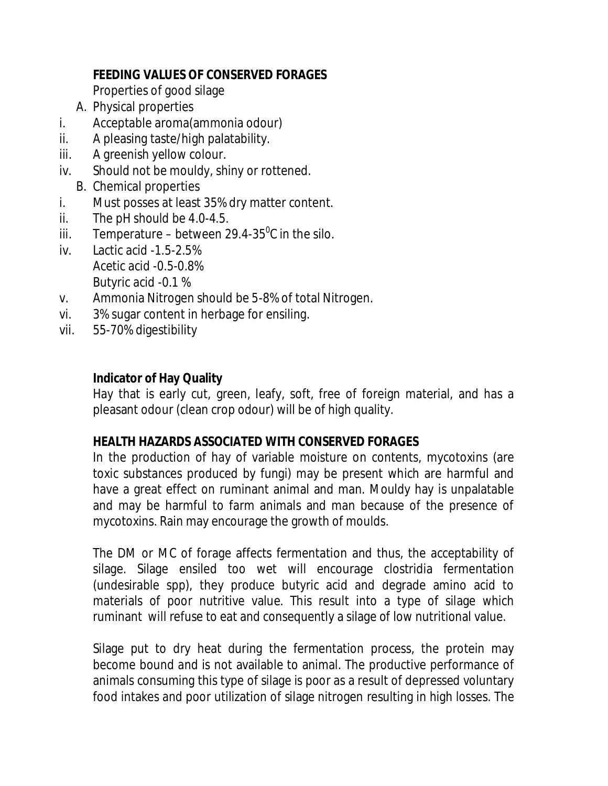# **FEEDING VALUES OF CONSERVED FORAGES**

Properties of good silage

- A. Physical properties
- i. Acceptable aroma(ammonia odour)
- ii. A pleasing taste/high palatability.
- iii. A greenish yellow colour.
- iv. Should not be mouldy, shiny or rottened.
	- B. Chemical properties
- i. Must posses at least 35% dry matter content.
- ii. The pH should be 4.0-4.5.
- iii. Temperature between 29.4-35 $\mathrm{^0C}$  in the silo.
- iv. Lactic acid -1.5-2.5% Acetic acid -0.5-0.8% Butyric acid -0.1 %
- v. Ammonia Nitrogen should be 5-8% of total Nitrogen.
- vi. 3% sugar content in herbage for ensiling.
- vii. 55-70% digestibility

# **Indicator of Hay Quality**

Hay that is early cut, green, leafy, soft, free of foreign material, and has a pleasant odour (clean crop odour) will be of high quality.

# **HEALTH HAZARDS ASSOCIATED WITH CONSERVED FORAGES**

In the production of hay of variable moisture on contents, mycotoxins (are toxic substances produced by fungi) may be present which are harmful and have a great effect on ruminant animal and man. Mouldy hay is unpalatable and may be harmful to farm animals and man because of the presence of mycotoxins. Rain may encourage the growth of moulds.

The DM or MC of forage affects fermentation and thus, the acceptability of silage. Silage ensiled too wet will encourage clostridia fermentation (undesirable spp), they produce butyric acid and degrade amino acid to materials of poor nutritive value. This result into a type of silage which ruminant will refuse to eat and consequently a silage of low nutritional value.

Silage put to dry heat during the fermentation process, the protein may become bound and is not available to animal. The productive performance of animals consuming this type of silage is poor as a result of depressed voluntary food intakes and poor utilization of silage nitrogen resulting in high losses. The